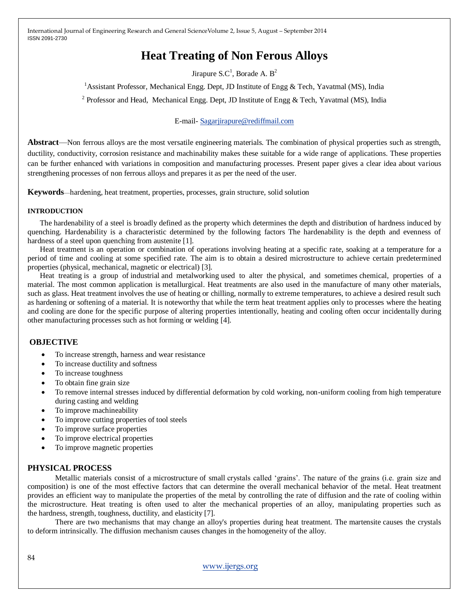# **Heat Treating of Non Ferous Alloys**

Jirapure S.C<sup>1</sup>, Borade A.  $B^2$ 

<sup>1</sup> Assistant Professor, Mechanical Engg. Dept, JD Institute of Engg & Tech, Yavatmal (MS), India

<sup>2</sup> Professor and Head, Mechanical Engg. Dept, JD Institute of Engg & Tech, Yavatmal (MS), India

#### E-mail- [Sagarjirapure@rediffmail.com](mailto:Sagarjirapure@rediffmail.com)

**Abstract**—Non ferrous alloys are the most versatile engineering materials. The combination of physical properties such as strength, ductility, conductivity, corrosion resistance and machinability makes these suitable for a wide range of applications. These properties can be further enhanced with variations in composition and manufacturing processes. Present paper gives a clear idea about various strengthening processes of non ferrous alloys and prepares it as per the need of the user.

**Keywords**—hardening, heat treatment, properties, processes, grain structure, solid solution

#### **INTRODUCTION**

The hardenability of a steel is broadly defined as the property which determines the depth and distribution of hardness induced by quenching. Hardenability is a characteristic determined by the following factors The hardenability is the depth and evenness of hardness of a steel upon quenching from austenite [1].

Heat treatment is an operation or combination of operations involving heating at a specific rate, soaking at a temperature for a period of time and cooling at some specified rate. The aim is to obtain a desired microstructure to achieve certain predetermined properties (physical, mechanical, magnetic or electrical) [3].

Heat treating is a group of [industrial](http://en.wikipedia.org/wiki/Industrial_process) and metalworking used to alter the [physical,](http://en.wikipedia.org/wiki/Physical_property) and sometimes [chemical,](http://en.wikipedia.org/wiki/Chemical_property) properties of a material. The most common application is [metallurgical.](http://en.wikipedia.org/wiki/Metallurgy) Heat treatments are also used in the manufacture of many other materials, such a[s glass.](http://en.wikipedia.org/wiki/Glass) Heat treatment involves the use of heating or chilling, normally to extreme temperatures, to achieve a desired result such as hardening or softening of a material. It is noteworthy that while the term heat treatment applies only to processes where the heating and cooling are done for the specific purpose of altering properties intentionally, heating and cooling often occur incidentally during other manufacturing processes such as hot forming or welding [4].

## **OBJECTIVE**

- To increase strength, harness and wear resistance
- To increase ductility and softness
- To increase toughness
- To obtain fine grain size
- To remove internal stresses induced by differential deformation by cold working, non-uniform cooling from high temperature during casting and welding
- To improve machineability
- To improve cutting properties of tool steels
- To improve surface properties
- To improve electrical properties
- To improve magnetic properties

# **PHYSICAL PROCESS**

Metallic materials consist of a microstructure of small crystals called 'grains'. The nature of the grains (i.e. grain size and composition) is one of the most effective factors that can determine the overall mechanical behavior of the metal. Heat treatment provides an efficient way to manipulate the properties of the metal by controlling the rate of diffusion and the rate of cooling within the microstructure. Heat treating is often used to alter the mechanical properties of an alloy, manipulating properties such as the hardness, strength, toughness, ductility, and elasticity [7].

There are two mechanisms that may change an alloy's properties during heat treatment. The martensite causes the crystals to deform intrinsically. The diffusion mechanism causes changes in the homogeneity of the alloy.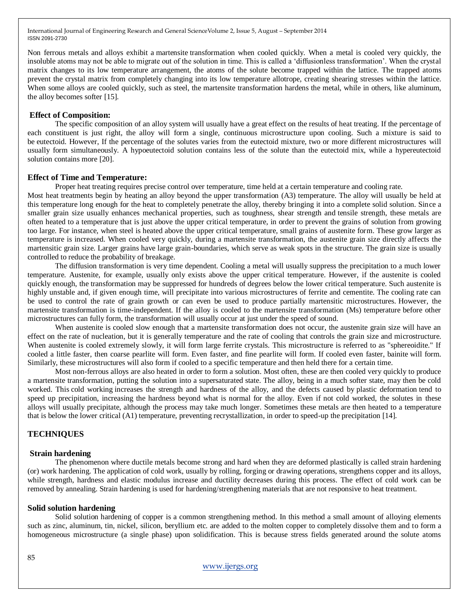Non ferrous metals and alloys exhibit a martensite transformation when cooled quickly. When a metal is cooled very quickly, the insoluble atoms may not be able to migrate out of the solution in time. This is called a ‗diffusionless transformation'. When the crystal matrix changes to its low temperature arrangement, the atoms of the solute become trapped within the lattice. The trapped atoms prevent the crystal matrix from completely changing into its low temperature allotrope, creating shearing stresses within the lattice. When some alloys are cooled quickly, such as steel, the martensite transformation hardens the metal, while in others, like aluminum, the alloy becomes softer [15].

#### **Effect of Composition:**

The specific composition of an alloy system will usually have a great effect on the results of heat treating. If the percentage of each constituent is just right, the alloy will form a single, continuous microstructure upon cooling. Such a mixture is said to be eutectoid. However, If the percentage of the solutes varies from the eutectoid mixture, two or more different microstructures will usually form simultaneously. A hypoeutectoid solution contains less of the solute than the eutectoid mix, while a hypereutectoid solution contains more [20].

#### **Effect of Time and Temperature:**

Proper heat treating requires precise control over temperature, time held at a certain temperature and cooling rate.

Most heat treatments begin by heating an alloy beyond the upper transformation (A3) temperature. The alloy will usually be held at this temperature long enough for the heat to completely penetrate the alloy, thereby bringing it into a complete solid solution. Since a smaller grain size usually enhances mechanical properties, such as toughness, shear strength and tensile strength, these metals are often heated to a temperature that is just above the upper critical temperature, in order to prevent the grains of solution from growing too large. For instance, when steel is heated above the upper critical temperature, small grains of austenite form. These grow larger as temperature is increased. When cooled very quickly, during a martensite transformation, the austenite grain size directly affects the martensitic grain size. Larger grains have large grain-boundaries, which serve as weak spots in the structure. The grain size is usually controlled to reduce the probability of breakage.

The diffusion transformation is very time dependent. Cooling a metal will usually suppress the precipitation to a much lower temperature. Austenite, for example, usually only exists above the upper critical temperature. However, if the austenite is cooled quickly enough, the transformation may be suppressed for hundreds of degrees below the lower critical temperature. Such austenite is highly unstable and, if given enough time, will precipitate into various microstructures of ferrite and cementite. The cooling rate can be used to control the rate of grain growth or can even be used to produce partially martensitic microstructures. However, the martensite transformation is time-independent. If the alloy is cooled to the martensite transformation (Ms) temperature before other microstructures can fully form, the transformation will usually occur at just under the speed of sound.

When austenite is cooled slow enough that a martensite transformation does not occur, the austenite grain size will have an effect on the rate of nucleation, but it is generally temperature and the rate of cooling that controls the grain size and microstructure. When austenite is cooled extremely slowly, it will form large ferrite crystals. This microstructure is referred to as "sphereoidite." If cooled a little faster, then coarse pearlite will form. Even faster, and fine pearlite will form. If cooled even faster, [bainite](http://en.wikipedia.org/wiki/Bainite) will form. Similarly, these microstructures will also form if cooled to a specific temperature and then held there for a certain time.

Most non-ferrous alloys are also heated in order to form a solution. Most often, these are then cooled very quickly to produce a martensite transformation, putting the solution into a supersaturated state. The alloy, being in a much softer state, may then be cold worked. This cold working increases the strength and hardness of the alloy, and the defects caused by plastic deformation tend to speed up precipitation, increasing the hardness beyond what is normal for the alloy. Even if not cold worked, the solutes in these alloys will usually precipitate, although the process may take much longer. Sometimes these metals are then heated to a temperature that is below the lower critical (A1) temperature, preventing recrystallization, in order to speed-up the precipitation [14].

# **TECHNIQUES**

## **Strain hardening**

The phenomenon where ductile metals become strong and hard when they are deformed plastically is called strain hardening (or) work hardening. The application of cold work, usually by rolling, forging or drawing operations, strengthens copper and its alloys, while strength, hardness and elastic modulus increase and ductility decreases during this process. The effect of cold work can be removed by annealing. Strain hardening is used for hardening/strengthening materials that are not responsive to heat treatment.

#### **Solid solution hardening**

Solid solution hardening of copper is a common strengthening method. In this method a small amount of alloying elements such as zinc, aluminum, tin, nickel, silicon, beryllium etc. are added to the molten copper to completely dissolve them and to form a homogeneous microstructure (a single phase) upon solidification. This is because stress fields generated around the solute atoms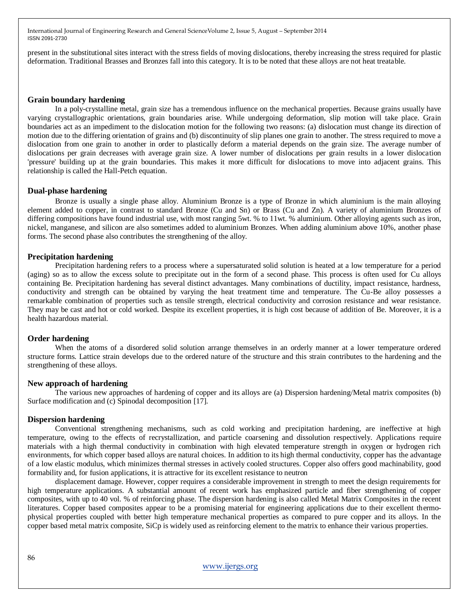present in the substitutional sites interact with the stress fields of moving dislocations, thereby increasing the stress required for plastic deformation. Traditional Brasses and Bronzes fall into this category. It is to be noted that these alloys are not heat treatable.

#### **Grain boundary hardening**

In a poly-crystalline metal, grain size has a tremendous influence on the mechanical properties. Because grains usually have varying crystallographic orientations, grain boundaries arise. While undergoing deformation, slip motion will take place. Grain boundaries act as an impediment to the dislocation motion for the following two reasons: (a) dislocation must change its direction of motion due to the differing orientation of grains and (b) discontinuity of slip planes one grain to another. The stress required to move a dislocation from one grain to another in order to plastically deform a material depends on the grain size. The average number of dislocations per grain decreases with average grain size. A lower number of dislocations per grain results in a lower dislocation 'pressure' building up at the grain boundaries. This makes it more difficult for dislocations to move into adjacent grains. This relationship is called the Hall-Petch equation.

#### **Dual-phase hardening**

Bronze is usually a single phase alloy. Aluminium Bronze is a type of Bronze in which aluminium is the main alloying element added to copper, in contrast to standard Bronze (Cu and Sn) or Brass (Cu and Zn). A variety of aluminium Bronzes of differing compositions have found industrial use, with most ranging 5wt. % to 11wt. % aluminium. Other alloying agents such as iron, nickel, manganese, and silicon are also sometimes added to aluminium Bronzes. When adding aluminium above 10%, another phase forms. The second phase also contributes the strengthening of the alloy.

#### **Precipitation hardening**

Precipitation hardening refers to a process where a supersaturated solid solution is heated at a low temperature for a period (aging) so as to allow the excess solute to precipitate out in the form of a second phase. This process is often used for Cu alloys containing Be. Precipitation hardening has several distinct advantages. Many combinations of ductility, impact resistance, hardness, conductivity and strength can be obtained by varying the heat treatment time and temperature. The Cu-Be alloy possesses a remarkable combination of properties such as tensile strength, electrical conductivity and corrosion resistance and wear resistance. They may be cast and hot or cold worked. Despite its excellent properties, it is high cost because of addition of Be. Moreover, it is a health hazardous material.

#### **Order hardening**

When the atoms of a disordered solid solution arrange themselves in an orderly manner at a lower temperature ordered structure forms. Lattice strain develops due to the ordered nature of the structure and this strain contributes to the hardening and the strengthening of these alloys.

#### **New approach of hardening**

The various new approaches of hardening of copper and its alloys are (a) Dispersion hardening/Metal matrix composites (b) Surface modification and (c) Spinodal decomposition [17].

#### **Dispersion hardening**

Conventional strengthening mechanisms, such as cold working and precipitation hardening, are ineffective at high temperature, owing to the effects of recrystallization, and particle coarsening and dissolution respectively. Applications require materials with a high thermal conductivity in combination with high elevated temperature strength in oxygen or hydrogen rich environments, for which copper based alloys are natural choices. In addition to its high thermal conductivity, copper has the advantage of a low elastic modulus, which minimizes thermal stresses in actively cooled structures. Copper also offers good machinability, good formability and, for fusion applications, it is attractive for its excellent resistance to neutron

displacement damage. However, copper requires a considerable improvement in strength to meet the design requirements for high temperature applications. A substantial amount of recent work has emphasized particle and fiber strengthening of copper composites, with up to 40 vol. % of reinforcing phase. The dispersion hardening is also called Metal Matrix Composites in the recent literatures. Copper based composites appear to be a promising material for engineering applications due to their excellent thermophysical properties coupled with better high temperature mechanical properties as compared to pure copper and its alloys. In the copper based metal matrix composite, SiCp is widely used as reinforcing element to the matrix to enhance their various properties.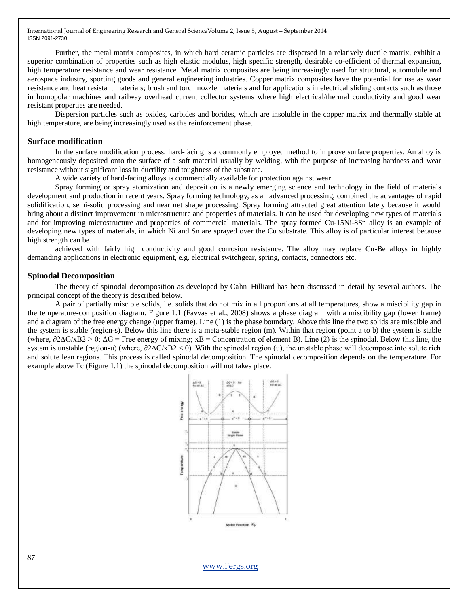Further, the metal matrix composites, in which hard ceramic particles are dispersed in a relatively ductile matrix, exhibit a superior combination of properties such as high elastic modulus, high specific strength, desirable co-efficient of thermal expansion, high temperature resistance and wear resistance. Metal matrix composites are being increasingly used for structural, automobile and aerospace industry, sporting goods and general engineering industries. Copper matrix composites have the potential for use as wear resistance and heat resistant materials; brush and torch nozzle materials and for applications in electrical sliding contacts such as those in homopolar machines and railway overhead current collector systems where high electrical/thermal conductivity and good wear resistant properties are needed.

Dispersion particles such as oxides, carbides and borides, which are insoluble in the copper matrix and thermally stable at high temperature, are being increasingly used as the reinforcement phase.

#### **Surface modification**

In the surface modification process, hard-facing is a commonly employed method to improve surface properties. An alloy is homogeneously deposited onto the surface of a soft material usually by welding, with the purpose of increasing hardness and wear resistance without significant loss in ductility and toughness of the substrate.

A wide variety of hard-facing alloys is commercially available for protection against wear.

Spray forming or spray atomization and deposition is a newly emerging science and technology in the field of materials development and production in recent years. Spray forming technology, as an advanced processing, combined the advantages of rapid solidification, semi-solid processing and near net shape processing. Spray forming attracted great attention lately because it would bring about a distinct improvement in microstructure and properties of materials. It can be used for developing new types of materials and for improving microstructure and properties of commercial materials. The spray formed Cu-15Ni-8Sn alloy is an example of developing new types of materials, in which Ni and Sn are sprayed over the Cu substrate. This alloy is of particular interest because high strength can be

achieved with fairly high conductivity and good corrosion resistance. The alloy may replace Cu-Be alloys in highly demanding applications in electronic equipment, e.g. electrical switchgear, spring, contacts, connectors etc.

#### **Spinodal Decomposition**

The theory of spinodal decomposition as developed by Cahn–Hilliard has been discussed in detail by several authors. The principal concept of the theory is described below.

A pair of partially miscible solids, i.e. solids that do not mix in all proportions at all temperatures, show a miscibility gap in the temperature-composition diagram. Figure 1.1 (Favvas et al., 2008) shows a phase diagram with a miscibility gap (lower frame) and a diagram of the free energy change (upper frame). Line (1) is the phase boundary. Above this line the two solids are miscible and the system is stable (region-s). Below this line there is a meta-stable region (m). Within that region (point a to b) the system is stable (where,  $\partial$ 2 $\Delta$ G/xB2 > 0;  $\Delta$ G = Free energy of mixing; xB = Concentration of element B). Line (2) is the spinodal. Below this line, the system is unstable (region-u) (where,  $\partial 2\Delta G/XB2 \leq 0$ ). With the spinodal region (u), the unstable phase will decompose into solute rich and solute lean regions. This process is called spinodal decomposition. The spinodal decomposition depends on the temperature. For example above Tc (Figure 1.1) the spinodal decomposition will not takes place.



[www.ijergs.org](http://www.ijergs.org/)